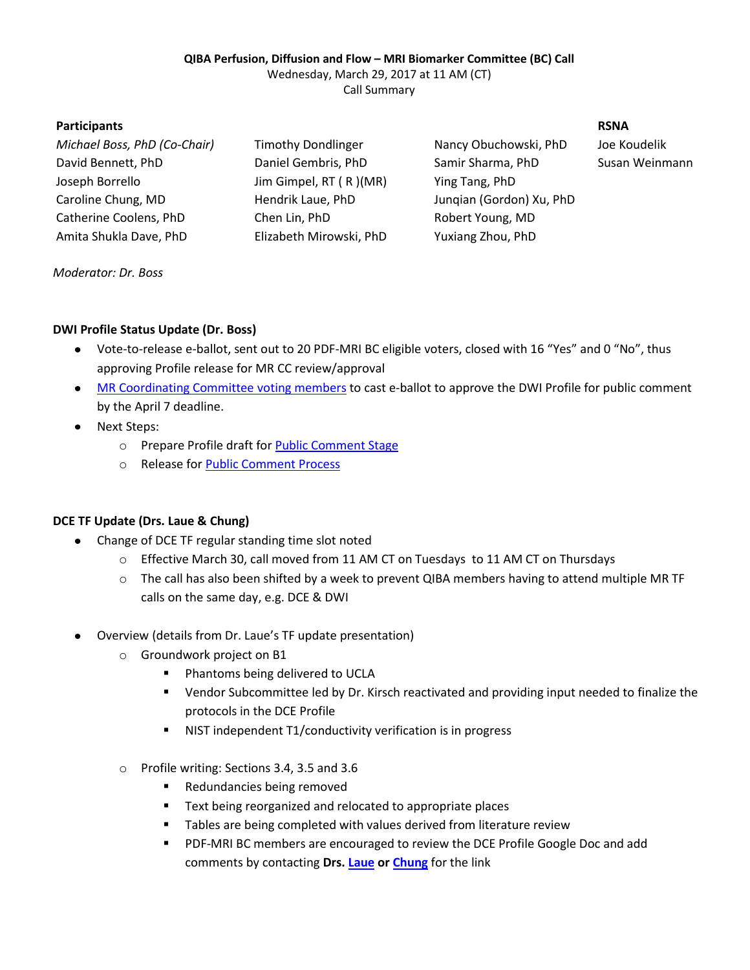### **QIBA Perfusion, Diffusion and Flow – MRI Biomarker Committee (BC) Call**

Wednesday, March 29, 2017 at 11 AM (CT)

Call Summary

### **Participants RSNA**

| Michael Boss, PhD (Co-Chair) |
|------------------------------|
| David Bennett, PhD           |
| Joseph Borrello              |
| Caroline Chung, MD           |
| Catherine Coolens, PhD       |
| Amita Shukla Dave, PhD       |

Jim Gimpel, RT ( R )(MR) Ying Tang, PhD Chen Lin, PhD Robert Young, MD Elizabeth Mirowski, PhD Yuxiang Zhou, PhD

*Michael Boss, PhD (Co-Chair)* Timothy Dondlinger Nancy Obuchowski, PhD Joe Koudelik Daniel Gembris, PhD Samir Sharma, PhD Susan Weinmann Hendrik Laue, PhD Jungian (Gordon) Xu, PhD

### *Moderator: Dr. Boss*

# **DWI Profile Status Update (Dr. Boss)**

- Vote-to-release e-ballot, sent out to 20 PDF-MRI BC eligible voters, closed with 16 "Yes" and 0 "No", thus approving Profile release for MR CC review/approval
- [MR Coordinating Committee voting members](http://qibawiki.rsna.org/images/2/2c/QIBA_MR_CC_Roster.pdf) to cast e-ballot to approve the DWI Profile for public comment  $\bullet$ by the April 7 deadline.
- Next Steps:
	- o Prepare Profile draft fo[r Public Comment Stage](http://qibawiki.rsna.org/index.php/QIBA_Profile_Stages)
	- o Release for **Public Comment Process**

## **DCE TF Update (Drs. Laue & Chung)**

- Change of DCE TF regular standing time slot noted  $\bullet$ 
	- o Effective March 30, call moved from 11 AM CT on Tuesdays to 11 AM CT on Thursdays
	- o The call has also been shifted by a week to prevent QIBA members having to attend multiple MR TF calls on the same day, e.g. DCE & DWI
- Overview (details from Dr. Laue's TF update presentation)
	- o Groundwork project on B1
		- **Phantoms being delivered to UCLA**
		- Vendor Subcommittee led by Dr. Kirsch reactivated and providing input needed to finalize the protocols in the DCE Profile
		- NIST independent T1/conductivity verification is in progress
	- o Profile writing: Sections 3.4, 3.5 and 3.6
		- **Redundancies being removed**
		- **Text being reorganized and relocated to appropriate places**
		- **Tables are being completed with values derived from literature review**
		- PDF-MRI BC members are encouraged to review the DCE Profile Google Doc and add comments by contacting **Drs. [Laue](mailto:hendrik.laue@mevis.fraunhofer.de) o[r Chung](mailto:cchung3@mdanderson.org)** for the link